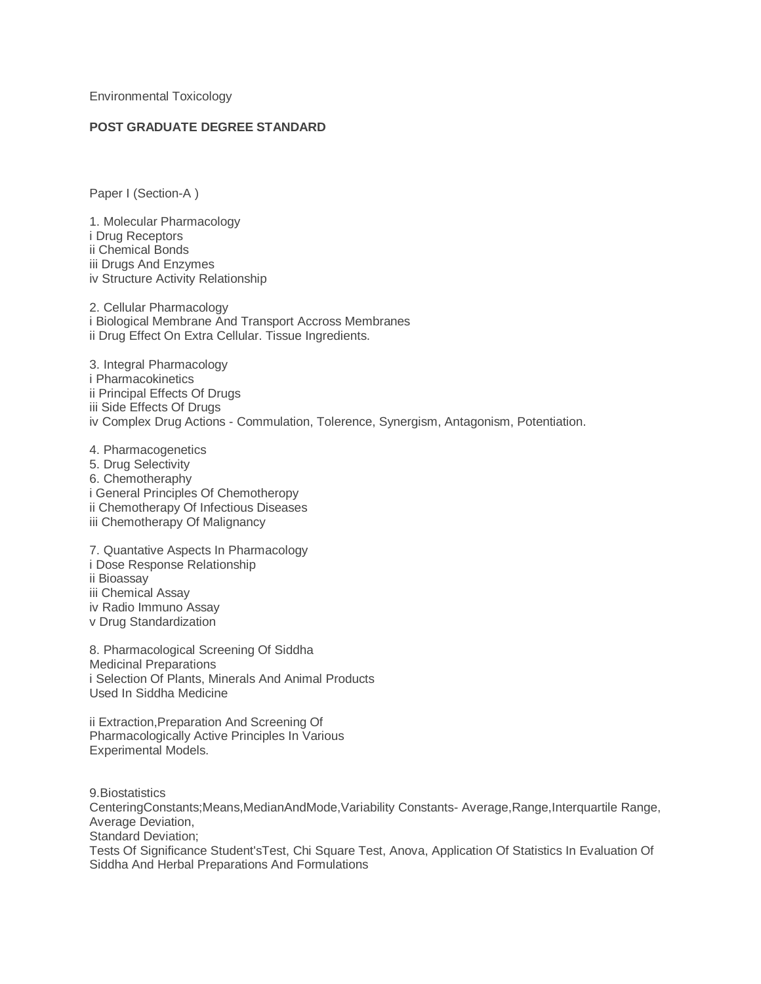Environmental Toxicology

## **POST GRADUATE DEGREE STANDARD**

Paper I (Section-A )

1. Molecular Pharmacology i Drug Receptors ii Chemical Bonds iii Drugs And Enzymes iv Structure Activity Relationship

2. Cellular Pharmacology i Biological Membrane And Transport Accross Membranes ii Drug Effect On Extra Cellular. Tissue Ingredients.

3. Integral Pharmacology i Pharmacokinetics ii Principal Effects Of Drugs iii Side Effects Of Drugs iv Complex Drug Actions - Commulation, Tolerence, Synergism, Antagonism, Potentiation.

4. Pharmacogenetics 5. Drug Selectivity 6. Chemotheraphy i General Principles Of Chemotheropy ii Chemotherapy Of Infectious Diseases iii Chemotherapy Of Malignancy

7. Quantative Aspects In Pharmacology i Dose Response Relationship ii Bioassay iii Chemical Assay iv Radio Immuno Assay v Drug Standardization

8. Pharmacological Screening Of Siddha Medicinal Preparations i Selection Of Plants, Minerals And Animal Products Used In Siddha Medicine

ii Extraction,Preparation And Screening Of Pharmacologically Active Principles In Various Experimental Models.

9.Biostatistics CenteringConstants;Means,MedianAndMode,Variability Constants- Average,Range,Interquartile Range, Average Deviation, Standard Deviation; Tests Of Significance Student'sTest, Chi Square Test, Anova, Application Of Statistics In Evaluation Of Siddha And Herbal Preparations And Formulations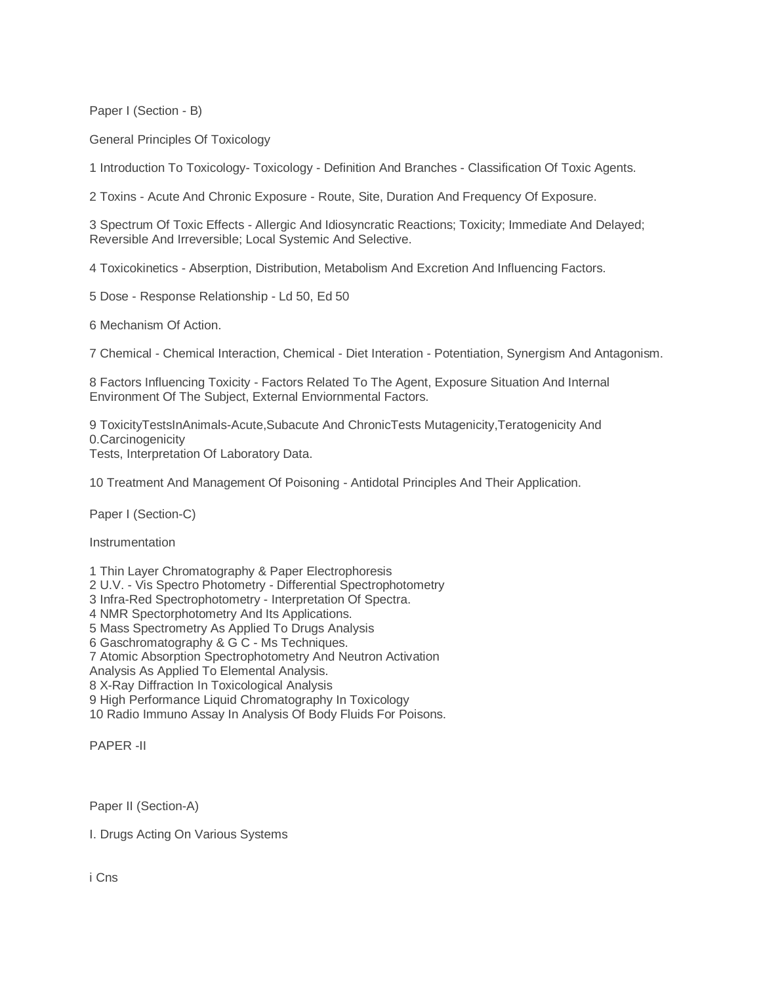Paper I (Section - B)

General Principles Of Toxicology

1 Introduction To Toxicology- Toxicology - Definition And Branches - Classification Of Toxic Agents.

2 Toxins - Acute And Chronic Exposure - Route, Site, Duration And Frequency Of Exposure.

3 Spectrum Of Toxic Effects - Allergic And Idiosyncratic Reactions; Toxicity; Immediate And Delayed; Reversible And Irreversible; Local Systemic And Selective.

4 Toxicokinetics - Abserption, Distribution, Metabolism And Excretion And Influencing Factors.

5 Dose - Response Relationship - Ld 50, Ed 50

6 Mechanism Of Action.

7 Chemical - Chemical Interaction, Chemical - Diet Interation - Potentiation, Synergism And Antagonism.

8 Factors Influencing Toxicity - Factors Related To The Agent, Exposure Situation And Internal Environment Of The Subject, External Enviornmental Factors.

9 ToxicityTestsInAnimals-Acute,Subacute And ChronicTests Mutagenicity,Teratogenicity And 0.Carcinogenicity

Tests, Interpretation Of Laboratory Data.

10 Treatment And Management Of Poisoning - Antidotal Principles And Their Application.

Paper I (Section-C)

**Instrumentation** 

1 Thin Layer Chromatography & Paper Electrophoresis 2 U.V. - Vis Spectro Photometry - Differential Spectrophotometry 3 Infra-Red Spectrophotometry - Interpretation Of Spectra. 4 NMR Spectorphotometry And Its Applications. 5 Mass Spectrometry As Applied To Drugs Analysis 6 Gaschromatography & G C - Ms Techniques. 7 Atomic Absorption Spectrophotometry And Neutron Activation Analysis As Applied To Elemental Analysis. 8 X-Ray Diffraction In Toxicological Analysis 9 High Performance Liquid Chromatography In Toxicology 10 Radio Immuno Assay In Analysis Of Body Fluids For Poisons.

PAPER -II

Paper II (Section-A)

I. Drugs Acting On Various Systems

i Cns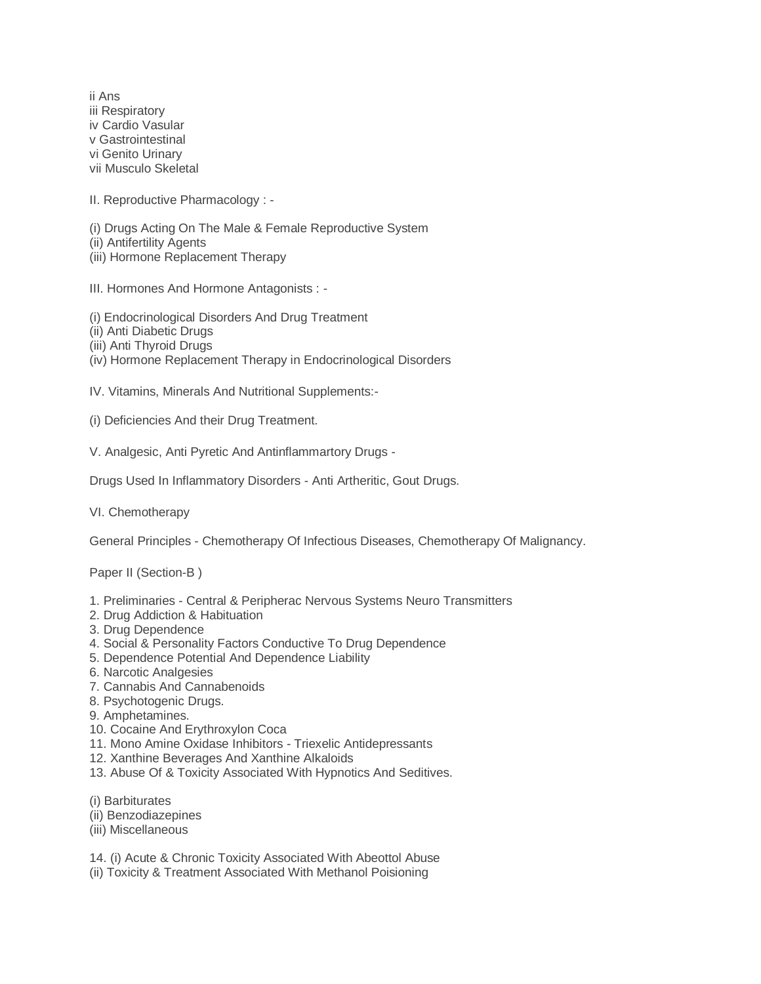ii Ans iii Respiratory iv Cardio Vasular v Gastrointestinal vi Genito Urinary vii Musculo Skeletal

II. Reproductive Pharmacology : -

(i) Drugs Acting On The Male & Female Reproductive System (ii) Antifertility Agents (iii) Hormone Replacement Therapy

III. Hormones And Hormone Antagonists : -

(i) Endocrinological Disorders And Drug Treatment

(ii) Anti Diabetic Drugs

(iii) Anti Thyroid Drugs

(iv) Hormone Replacement Therapy in Endocrinological Disorders

IV. Vitamins, Minerals And Nutritional Supplements:-

(i) Deficiencies And their Drug Treatment.

V. Analgesic, Anti Pyretic And Antinflammartory Drugs -

Drugs Used In Inflammatory Disorders - Anti Artheritic, Gout Drugs.

VI. Chemotherapy

General Principles - Chemotherapy Of Infectious Diseases, Chemotherapy Of Malignancy.

Paper II (Section-B )

- 1. Preliminaries Central & Peripherac Nervous Systems Neuro Transmitters
- 2. Drug Addiction & Habituation
- 3. Drug Dependence
- 4. Social & Personality Factors Conductive To Drug Dependence
- 5. Dependence Potential And Dependence Liability
- 6. Narcotic Analgesies
- 7. Cannabis And Cannabenoids
- 8. Psychotogenic Drugs.
- 9. Amphetamines.
- 10. Cocaine And Erythroxylon Coca
- 11. Mono Amine Oxidase Inhibitors Triexelic Antidepressants
- 12. Xanthine Beverages And Xanthine Alkaloids
- 13. Abuse Of & Toxicity Associated With Hypnotics And Seditives.
- (i) Barbiturates
- (ii) Benzodiazepines
- (iii) Miscellaneous

14. (i) Acute & Chronic Toxicity Associated With Abeottol Abuse

(ii) Toxicity & Treatment Associated With Methanol Poisioning